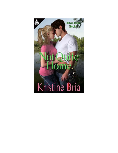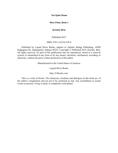**Not Quite Home**

## **Moss Point, Book 1**

# **Kristine Bria**

Published 2015

### ISBN: 978-1-62210-238-9

Published by Liquid Silver Books, imprint of Atlantic Bridge Publishing, 10509 Sedgegrass Dr, Indianapolis, Indiana 46235. Copyright © Published 2015, Kristine Bria. All rights reserved. No part of this publication may be reproduced, stored in a retrieval system, or transmitted in any form or by any means, electronic, mechanical, recording or otherwise, without the prior written permission of the author.

Manufactured in the United States of America

Liquid Silver Books

http://LSbooks.com

This is a work of fiction. The characters, incidents and dialogues in this book are of the author's imagination and are not to be construed as real. Any resemblance to actual events or persons, living or dead, is completely coincidental.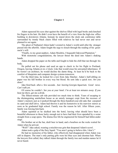### **Chapter 1**

Adam squeezed his eyes shut against the shelves filled with legal books and clenched his fingers in his hair. He didn't even have the benefit of a view from the high-rise office building in downtown Atlanta. Instead, he stared down the sleek oak conference table surrounded by trendy black chairs filled with relatives he had never met and never planned to see again.

The ghost of Nathaniel Aiken hadn't existed in Adam's world until after the stranger passed into the afterlife. Adam fought the urge to slouch through the reading of his greatuncle's will.

"Finally, to my great-nephew, Adam Moultrie, I bequeath Oakwood Plantation."

With monotone congratulations, the lawyer thrust the deed into Adam's shaking hands.

Adam dropped the paper on the table and fought to hide the chill that ran through his body.

He pulled out his phone and used an app to check in for his flight to Portland, Oregon, leaving Atlanta at six o'clock. Like that would erase his unwanted inheritance. If he weren't an architect, he would decline the damn thing. At least he'd be back to the comfort of blueprints and computer design systems tomorrow.

For the third time, he looked for a text from Jake Hatcher. Adam's half-sibling on paper was his full brother in every way but blood. He sent Jake a quick text. *Are you done?*

Jake fired back after a few seconds. *Just leaving Georgia Aquarium. Good news. Can't talk yet.*

Of course he couldn't. *See you at your hotel. I'm at least ten minutes away. If you beat me there, get me a drink.*

The fifteen-minute cab ride provided too much time to think. Years of escaping to the disintegrating antebellum house as an unruly teenager crept from the recesses of Adam's memory just as it peeked through the three-hundred-year-old oaks that canopied its sand and shell drive. Adam had thrown it and his hometown in his rearview mirror as soon as he graduated high school. Family was the reason he left. After fifteen years, family was forcing him back.

Adam squinted as he skulked into the hotel, leaving what should have been a beautiful afternoon to those lucky enough not to have had their lives upended by a scene straight from a soap opera. The drama-free life he engineered for himself had fallen under siege.

His brother sat at the bar, draft beer in hand, and a bourbon on the rocks waited for Adam when he arrived.

"Well?" Jake asked, wearing a mischievous grin that deepened Adam's scowl.

Adam took a gulp of the fiery liquid. "You aren't going to believe this. I don't."

He had no memories of his father, who effectively had disappeared when Adam was still in diapers. The man's only parting gifts were his blue eyes and chestnut hair. When the lawyers first called, they talked Adam through the family tree and maiden names he'd never heard.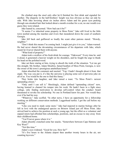He climbed atop the stool only after he'd finished his first drink and signaled for another. The disparity in the half-brothers' height was less obvious as they sat side by side. With Jake hovering about six inches above Adam and his green eyes peeking through sun-streaked hair that looked about a month overdue for a cut, no one would ever guess they were related.

Jake leaned in, concerned. "How bad can it be?"

"It seems I've inherited some property in Moss Point." Jake still lived in the little town nestled among the marshes and rivers that meandered down the coast of southern Georgia.

Jake fell back and guffawed so loudly the scant other patrons stared. "Howdy, neighbor."

"Don't think this means I'm coming back. I might just give it to you," Adam warned. He had never shared the devastating circumstances of his departure with Jake, which meant he'd never shared them with anyone.

"What kind of property?"

Adam took a swallow of his fresh drink for courage. "Oakwood." Every time he said it aloud, it generated a heavier weight on his shoulders, and he fought the urge to thunk his head on the polished wood.

Jake sat there staring at him, trying to absorb the truth of the situation. "Let me get this straight. My brother, Adam Moultrie, famed heathen of Moss Point, Georgia, is now the owner of the town's prestigious antebellum home?"

Adam absorbed the comment and snorted. "Yep. I hadn't thought about it from that angle. The way you put it, it's like the universe is playing some sort of perverse joke on all of us. You would be the one to find this funny."

They broke into laughter, and Jake raised a toast. "To Moss Point's newest upstanding citizen."

"Only until I can sell it." Shockingly, Adam defined "upstanding citizen" now, having learned to channel his temper into his work. He hadn't been in a fight since college, only finding motivation to develop self-control when the conduct board threatened to revoke his scholarship. No one in Portland knew his past. Nor would they ever if he had his way.

"Whatever," Jake scoffed. "In other news, I have an opportunity for a fellowship working on different conservation methods. Loggerhead turtles. I got the call before my meeting."

"Like you need to study some more." Jake had majored in marine biology after he fell in love with the endangered species on Bristow Island just off Moss Point. Jake strived hard to achieve his position at such a young age, but the effort as a volunteer and unpaid intern had afforded him scholarships, positions, and an excuse to stay away from their childhood home.

"You'll never guess where it is."

Adam absently crunched some bar snacks. "Somewhere between Cape Hatteras and Key West?"

"Not this time."

Adam's eyes widened. "Good for you. How far?"

"It's five hours to the Atlanta airport then another twenty hours in the air, not counting layovers."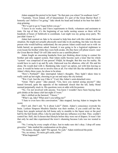Adam snapped the pretzel in his hand. "So that puts you where? In southeast Asia?"

"Australia. Tryon Island, off of Queensland. It's part of the Great Barrier Reef. I honestly can't believe I'm going." Jake shook his head and looked at his beer but didn't stop grinning.

"We've got to go to Vegas before you go."

"I leave in six weeks, and I have experiments to finish, volunteers and assistants to train. On top of that, it's the beginning of sea turtle nesting season so there will be hundreds of hours of fieldwork to coordinate. Last night was my going away party. We just didn't know it."

Adam had counted on Jake to be around to help him deal with this whole Oakwood situation. He might not actually physically need Jake to do anything, but Jake was the one person who would halfway understand, the one person Adam could reach out to with no holds barred, no questions asked. Instead, it was going to be a logistical nightmare to even locate his brother while they were both awake. *Do they have cell phone towers near the Great Barrier Reef? Or will Jake need to use a satellite phone?*

Adam fought an oncoming headache from just thinking about trying to contact his brother and only support system. Had Adam really become such a loner that his whole "system" was comprised of one person? *Pitiful*, he thought. But this was his reality. He would have to suck it up and fly solo. Oakwood was his albatross, after all. His and his alone. He would deal with it. Burdening Jake wasn't an option, not with him leaving so soon. It would be better not to involve him at all. For what felt like the millionth time in Adam's thirty-three years, he chose to be alone.

"How's Portland?" Jake interrupted Adam's thoughts. They hadn't taken time to really catch up last night, choosing to go out and enjoy the city instead.

"Wet. Cool. Just the way I like it." Cool, like Adam's semi-detached voice.

"Great. That's great." Jake paused. "Um, have you started seeing anyone?" Jake leaned forward, quite the opposite of the trademark slouch that the tall, lanky blond seemed perpetually stuck in. His questions were at odds with his posture.

"No. I'm not involved with anyone. You know I wouldn't have been buying those girls drinks at the dance club last night if I were."

Jake's shifted on the barstool. "I know."

"What's up, Jake? What aren't you telling me?"

"I hate to even have this conversation." Jake stopped, leaving Adam to imagine the worst.

*Don't ask. Don't ask.* "Is it about Lulu?" *Damn.* Adam's conscience overrode his brain. Lurleen Simpson Moultrie Hatcher was their mother, if you could call her that. Funny how people noticed she left home only to stumble to the liquor store or the pool hall by the bail bonds office. Like he and Jake had any influence over that. They couldn't control her. Hell, she'd chosen that lifestyle before they were out of diapers. It wasn't fair that only he and Jake experienced the town's shunning because Lulu was too wasted to care.

"No. I swing by every couple of days. Just to make sure she's okay. I drop off some groceries." Jake studied the condensation on his glass.

"No money, though, right? We agreed. No cash." Adam reinforced the point.

"No, no money. No more gift cards, either."

"What happened?"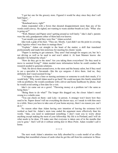"I got her one for the grocery store. Figured it would be okay since they don't sell hard liquor..."

"Jake."

"Bonehead move, right?"

Adam responded with a frown that shouted disappointment more than any of his words could convey. He sighed, not wanting to waste another breath on Lulu. "What else is going on?"

"Well, Mamaw and Papaw aren't getting around as well lately." Jake's dad's parents were the only grandparents either of them had ever known.

"Last month you said they were fine." Adam scowled.

Jake took a gulp of his beer. "They are. Mostly. I just didn't see the point in covering daily logistics when I was there to manage them."

"Explain." Adam cut straight to the heart of the matter, a skill that translated professionally and made him notorious for meeting his clients' needs.

"Papaw is starting to get cataracts. They aren't bad enough for surgery yet, but he's not driving as well as he used to and won't admit it. At least Mamaw knows she shouldn't be behind the wheel."

"How do they get to the store? Are you taking them everywhere? Do they need to move to assisted living?" Adam needed more information before he could conduct the research needed to generate solutions.

"Nah. He drives them around town, to the store and the beauty salon, but if they need to see a specialist in Savannah—like the eye surgeon—I drive them. And no, they definitely don't need assisted living."

"I'm happy to hire a limo or nursing assistance or someone to cook their meals, if it would help." Why would Adam need to go back? He could navigate this family minefield with no problems. He would coordinate with a driver and home healthcare by phone. And he would avoid setting a firm date for a visit.

Jake's ire came out on a growl. "Throwing money at a problem isn't the same as being there."

"Being there to do what?" The longer this dragged out, the closer Adam's mood swung to a volatile zone.

"You can check on them—and Lulu—in person. A stranger won't know how they used to be. Papaw doesn't tell me everything the doctor says, so I sneak in with him once in a while. Since you have to take care of your home anyway, there's no reason you can't do it."

No reason other than Adam having zero intention of leaving the existence he'd worked so hard for. Adam's stern tone ended the argument more effectively than his words. "Jake, you need to understand something. I don't want you to worry about anything except making the most of your fellowship. My life is in Portland, and I will do what needs to be done. I'll make sure that everyone is taken care of in the months that you're gone." *And I will do it without setting foot in Moss Point.* Adam wouldn't call it home.

\* \* \* \*

The next week Adam's attention was fully absorbed by a scale model of an office building that resembled a house of cards when he got the call from his contractor in Moss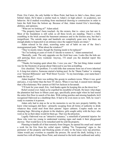Point. Eric Carter, the only builder in Moss Point, had been in Jake's class, three years behind Adam. He'd taken a similar track to Adam's in high school—in academics, not behavior. He'd studied everything from mechanical drawing to construction in order to learn the field from the bottom up. Because of that, Adam trusted Eric's knowledge, abilities, and opinions.

"What are we looking at?" Adam asked.

"The property hasn't been touched—by the owners, that is—since you last saw it. Most of the foundation is still solid, so all three levels are standing. There's a little crumbling in the brick around the basement entrances and in the kitchen area, but that's insignificant. The outside steps and handrails are completely gone now, but there are enough planks to hopscotch to an entrance since the support beams are intact."

Adam relaxed in his chair, scrawling notes out of habit on one of the firm's monogrammed pads. "What about the windows?"

"They're mostly intact, though the framing needs to be replaced."

"So I'm looking at years of work if I decide to restore it," Adam summarized.

"Basically, yeah. The only upgrades are the fresh beer cans. Looks like the kids are still partying there every weekend. Anyway, I'll email you the detailed report this afternoon."

"Thanks for keeping quiet about this. I owe you one." The last thing Adam wanted was for the firestorm of gossip about Oakwood to use him as kindling.

Eric chuckled. "No problem. I've told folks that someone from out of town inherited it. A long-lost relative. Someone started a betting pool. So far 'Damn Yankee' is winning over 'Internet Billionaire' and 'Wall Street Tycoon.' To my knowledge, your name hasn't made the list yet."

Adam laughed. There was nothing like gossip in southern towns. When it was good and juicy, it was better than the best TV shows. When it was bad, it caused more damage than a Revolutionary War cannon at Old Fort Jackson in Savannah.

"I'll look for your email, Eric. And thanks again for keeping this on the down low."

Relief crested over Adam as he expelled his mouthful of breath. He knew what shape the plantation had been in fifteen years ago, specifically prom night when he had toured the entire first floor in search of his date. With rotting porches and missing handrails, he'd recognized Oakwood as a deathtrap then. It had to be even more so now. Still, he wasn't ready to examine it in person.

Adam only had to step as far as his memories to see his new property liability. He knew what teenagers did there—primarily escaping from all forms of authority to drink whatever they could steal from their parents' liquor cabinets. Couples made out on sleeping bags. Shivering at ghosts in the shadows, girls sought safety with the boys who went as far as their dates would let them go. That was the attraction.

Legally Oakwood was an "attractive nuisance," a minefield of potential injuries for those who were too young to understand warning signs and made it their playground anyway. That would have to be remedied until he sold the property.

Planning to handle all of that remotely from Oregon, he opened his email and started a work list for Eric from his verbal report. Adding "No Trespassing" signs to the perimeter of the property and blocking points of entry to the house were top priorities. Adam would pay overtime to expedite the process. He saved the draft, locking it in a mental box with all things Moss Point, and returned to the knife and cardboard and safety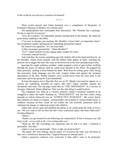of the world he was driven to construct for himself.

\* \* \* \*

Three weeks passed, and Adam hunched over a compilation of blueprints of Portland's Museum of Modern Art with his team.

The speakerphone buzz interrupted their discussion. "Mr. Moultrie has a package. He has to sign for it in person."

"Give me a minute," he responded, quickly turning back to the designs. He made his point before stalking to the lobby.

"I'm sorry to disrupt your meeting, Mr. Moultrie. I know that's an important client," the receptionist meekly apologized for something beyond her control.

He reined in his agitation. "It's not your fault."

A bike messenger greeted him. "Adam Moultrie?"

"Yes?" Adam looked over the opaque glass counter for a pen.

"Consider yourself served."

And with that, the twenty-something guy left, helmet still on his head and bicycle on his shoulder. Adam stood casually with the folded white papers in hand, watching the process server juggle the door like a pro as he moved on to his next unsuspecting victim.

Ignoring his single audience member, Adam popped a stick of gum before strolling through the maze of cubicles until he could close himself in his office. He gripped his chair precisely, pulling it from behind his desk. With floor-to-ceiling glass walls facing the associates, body language was the only weapon Adam had against the incipient speculation of the firm. Within minutes, news would travel from the front desk to the associates and to the group he'd just abandoned.

*At least the papers aren't blue like they are on TV. Maybe I just need to appear as a witness for something, possibly an expert. But why?* Adam carefully opened the documents and read. The top page listed him as "THE DEFENDANT" in a lawsuit in Georgia. *Oakwood. Damn albatross.* That was the only thing it could be about.

The complaint was filed by a Victoria Johnson. Adam's forehead wrinkled as he struggled to place the name. Reading on, "NEGLIGENCE" was the first count, citing grounds on which Oakwood was an "ATTRACTIVE NUISANCE". *The owner knows that children are likely to trespass…unreasonable risk of death or serious bodily harm to children…because of their youth do not realize the risk involved…possessor fails to eliminate the danger or otherwise protect the children.*

Adam spat out his gum and grabbed the phone so he could grind his teeth in Eric's ear. "Do you want to tell me how the hell I have a personal injury suit from Oakwood?" *Fucking albatross.*

"Damn."

"Damn, you got busted for not following my instructions? If this is because you did lousy work—or no work at all—I'm coming after you."

"Hold up. We did everything you requested, and we did it to spec. I checked it personally. Ask Jake."

Adam's voice rose fractionally. "How is Jake involved in this?"

"He asked. We were talking, and he asked. If I'd known the topic was off limits to him, too, I would have honored that. I figured because he already knew..."

Adam's protective instincts were irrelevant if Jake didn't want to be protected.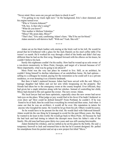"Never mind. How soon can you get out there to check it out?"

"I'm getting in my truck right now." In the background, Eric's door slammed, and his engine turned over.

"Who is Victoria Johnson?"

"Oh, boy. Is that who's suing?"

"What do you know?"

"Her mother is Melissa Valentino."

"Missy? My prom date, Missy?"

"That's her," Eric said, confirming Adam's fears. "She'll be out for blood."

Adam snorted a self-derisive huff. "With me? Yeah. She will."

\* \* \* \*

Adam sat on his black leather sofa staring at the brick wall in his loft. He would be proud that he'd bothered with a glass for the Jack Daniels on his steel coffee table if he weren't so numb. He'd worked his way through a third of the bottle and didn't feel any different than he had on the first swig. Slumped forward with his elbows on his knees, he couldn't believe his luck.

Surely this nightmare couldn't be his reality. How had he wound up as sole owner of a run-down monstrosity in Moss Point, Georgia, and target of a lawsuit because of it? More importantly, what was he going to do about it?

Moss Point was the very last place he wanted to live. Still, as an architect, he couldn't bring himself to decline inheritance of an antebellum home. He had options selling to a colleague he trusted, paying for the restoration so he could sell it as a private residence, or even donating it as a historic landmark.

But then it hadn't mattered because Adam had been served with the suit. Missy's teenage daughter had fallen and cut her arm while trespassing on the property. Her friends had taken her to the emergency room at the county hospital. Ever efficient, they had given her a staph infection along with her stitches. Instead of controlling her child, Missy had elected to file suit against the owner. The new owner. Adam.

His local lawyer had not been optimistic, especially since the new owner had never laid eyes on the place. What judge or jury would find in his favor if he hadn't bothered to even show up? How could he defend himself? From Portland, he couldn't. If he was found to be at fault, then he could lose everything he owned and then some. And when it came out that he was an *architect*, it would all be over. His reputation in tatters for anyone who Googled his name. He would be let go from his job. Others would be scarce.

So he would have to be present for the trial. He would deal with Oakwood himself. Adam would do the one thing he'd managed to avoid for the past fifteen years, the thing he wanted to do least in this world. He would go back to Moss Point. All because he had the bad luck and bad timing to inherit the decrepit mess from his father's side of the family. His old man had been gone thirty-two years and was still causing him trouble.

Adam finished his whiskey, and ice rattled as he set his glass by the bottle. He said a temporary farewell to Jack and returned him to the bar he'd custom designed. He pulled his smartphone from his pocket and set up a new project list titled "Move."

\* \* \* \*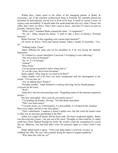Within days, Adam stood in the office of the managing partner of Burke  $\&$ Associates, one of the premiere architectural firms in Portland. He carefully placed the document he had tediously slaved over in front of his boss. *It needs to convey a sense of urgency and inevitability. It should make him understand that this isn't what I choose but rather that I have no choice. That I don't want to leave…and that I'll return as soon as possible, whenever that is.*

"What's this?" Jonathon Burke scanned the letter. "A resignation?"

"No, sir." Adam cleared his throat. "I need to take a leave of absence. Personal business."

Burke frowned. "Is this regarding your current legal situation?"

*Of course he knows.* Word had spread despite Adam's façade of normality. "Yes, sir."

"Nothing major, I hope."

Adam stiffened his spine and set his shoulders as if he was facing the Spanish Inquisition.

"It's related to a recent inheritance I received. I'm hoping it won't take long."

"The suit is here in Portland?"

"No, sir. It's in Georgia."

"Atlanta?"

"Moss Point."

"I'm not going to pretend to know where that is."

"It's on the coast, down from Savannah."

Burke sighed. "How long do you need to be there?"

Adam couldn't tell if his boss was more exasperated with the interrogation or the results. "I'm not sure, sir."

"Are we talking days? Weeks?"

"Possibly months." Adam doubted it would go that long, but he should prepare everyone for the worst.

"Well."

Adam dove into the most pressing issue. "Regarding status on the museum expansion project—"

His boss interrupted. "How soon do you need to leave?"

"I'm heading out Sunday. Driving." Not that Burke had asked.

"That's not much notice."

"I'm quite aware, sir. Unfortunately, it's unavoidable. I've looked at the situation from every angle, and this is the only option."

"That's unfortunate. I suppose it doesn't matter now, but last week the board voted to offer you an associate partnership in the firm."

Adam was caught off guard, and his heart sank. His knees weakened slightly. Burke was throwing him a bone—one just out of his reach. Thoughts of what could be, or rather could have been, flashed through his brain. He would've had the recognition he craved like air. *Albatross. Too bad Dad didn't sever his parental rights so I wasn't Nate's sole heir.*

Burke added insult to injury. "Until your legal matter is resolved, we have to withhold the offer. We can't risk a partner being the object of negative publicity."

"Why share this with me, sir?"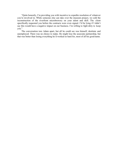"Quite honestly, I'm providing you with incentive to expedite resolution of whatever you're involved in. While someone else can take over the museum project, we sold the reconstruction of the riverfront microbrewery on your talent and skill. The client specifically requested you before the contracts were even signed. I'd be lying if I didn't say this would have a negative impact on our business. I'm willing to fight dirty to keep you."

The conversation tore Adam apart, but all he could see was himself, destitute and unemployed. There was no choice to make. He might lose the associate partnership, but that was better than losing everything he'd worked so hard for, most of all his good name.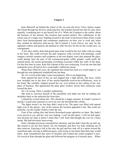#### **Chapter 2**

Kate Braswell sat behind the wheel of the six-year-old silver Volvo station wagon she'd kept through her divorce, analyzing how she'd gotten herself into this fix and, more urgently, wondering how to get herself out of it. When she'd spoken to the realtor about the business of her dreams, this location had seemed perfect. Her coffeehouse in the corner unit of a single story building located in the heart of downtown Moss Point would draw local businesspeople and courthouse employees on their way to work and when they needed an afternoon pick-me-up. She'd named it Local Flavor, not only for the signature coffees and pastries she planned to offer but also for the art she would carry on consignment.

A few days earlier, Kate had gazed upon what would be her new baby with joy rising in her heart. She could envision the pale turquoise walls covered with paintings, could imagine colorful ceramics and sculptures in the teal display cases that spanned the glass, could already hear the purr of the commercial-grade coffee grinder, could smell the roasted beans, the aroma permeating everything cocooned within the walls of the shop. For the first time in years, Kate felt a dream of her own coalescing. Even the rain that had soaked the town off and on for a week hadn't sullied her mood.

When Kate lifted her eyes, she squinted and craned her neck at a weird angle to see through her rain-splattered windshield into her shop.

*No. It's a trick of the light. I must need glasses. This is not happening.*

Kate opened the door of her car and stepped into a light drizzle. Her keys, which now included one to the door of her maybe-hopefully-soon-to-be-coffeehouse, were in her hand. She carefully stepped around her car, eyes locked on the ceiling of her new place of business. She approached the plate glass window slowly then cautiously crept toward the door.

*No. I'm wrong. There's another explanation.*

She tried to convince herself of the possibility and shake her fear by holding her shoulders back as she unlocked the front door.

*I* should be excited about this. This should be a happy moment. If I hadn't earned it *myself, I would want someone to carry me over the threshold like a bride*…

The lights weren't on, but they didn't need to be. The space was filled with natural light even in the gloom—one of the reasons the location appealed to her. She could see perfectly, yet she couldn't believe what she saw.

Four of her ceiling tiles had brown Rorschach-esque splotches on them. She hadn't even moved in yet, and her roof was leaking. *I will not fall apart. I will not fall apart. Just because my shop is doesn't mean that I will.* Kate had thought she was on a lucky streak. She had obviously been wrong.

Kate's thought processes consumed her attention, and she didn't hear the car pull up. She turned to see her best friend, Ali, her husband, and their two kids climbing out of their minivan. Enjoying a lull in the rain, the girl and boy took off at a sprint toward the waterfront park, moving at different paces, each trying to run faster than their legs would allow. Kate remembered that sense of freedom and wished she could recapture it now. Ali waved at Kate through the glass and followed her progeny at a leisurely pace. When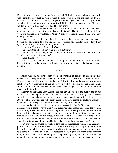Kate's family had moved to Moss Point, she and Ali had been high school freshmen. It was cliché, but they'd sat together at lunch the first day of class and had been best friends ever since. Smiling at Ali's back, she gladly acknowledged that reconnecting with her friend held as much appeal as the town itself. Unlike Kate's parents and ex, Ali never wanted more from Kate than herself and her happiness.

Chuck, Ali's so-called better half, let himself in to join Kate. He couldn't have been more supportive of her or of her friendship with his wife. The girls had double-dated for years and married their sweethearts. Ali and Chuck were happily married. Kate was now happily divorced.

Chuck approached Kate and held her in a side hug—something she imagined a brother or sister might do if she had one. He squeezed her shoulders and followed her eyes to the ceiling. "Another item for your to-do list?"

Leave it to Chuck to be the model of sanity.

"One more than I hoped, but yeah, it looks that way."

"You're going to do this, Katie." It felt right for him to have a nickname for her. "You're going to make it a success."

"Lord, I hope so."

With that, she ushered Chuck out of her shop, locked the door, and went to sit with her best friend on a damp bench by the river, keenly appreciative of the luxury of being enough.

\* \* \* \*

Adam was on his own. After weeks of working in dangerous conditions like Oakwood and the spire on the steeple of Moss Point's Episcopal Church three stories up, Eric had broken his leg from a relatively short fall while cleaning the gutters over his own front porch. Now Eric would be laid up for weeks with a compound fracture in his femur. Adam knew what had to be done, but he needed a Georgia general contractor's license to do the work himself.

Halfway to Salt Lake City, Adam's ass had already fused to the bucket seat in his truck. The "lane departure alert" feature—whatever that was exactly—had seemed superfluous when he bought the vehicle. Now he was beyond grateful for it. Between the stretches of highway and the audio study guide for his new license, he couldn't guarantee he wouldn't fall asleep at the wheel. Or on the wheel, for that matter.

Apparently Eric was slated to start on a project for Jake's friend and neighbor, someone who'd come to town after Adam graduated high school. It seemed the woman was on a tight deadline and that Adam might be the only one qualified and available to help her. Eric had convinced Jake to ask Adam as a special favor, but if Adam helped her, then he wasn't working on Oakwood. It was almost as if forces were conspiring to keep him in Moss Point before he even got there, after he'd left for what should have been for good. Just driving past Mount Hood had felt like passing through a shadow of doom.

Not only was he saying farewell, at least for the foreseeable future, to an associate partnership in a high profile urban firm, but he was also saying a temporary goodbye to his work as an architect. He was used to working with contractors, to showing them how to execute his concepts and plans. He respected them, highly, and often asked for their thoughts on where to run plumbing or wiring. But, by God, he'd busted his butt to complete the five-year architecture program at one of the best schools in the country. He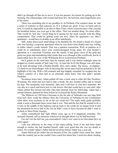didn't go through all that not to use it. It was his passion, his reason for getting up in the morning. His relationships with women had been few, far between, and insignificant next to his career.

There was something else to say goodbye to. In Portland, if he wanted a date, he had a series of websites to find someone on. If it worked out, great. If not, no harm and no foul. It would be impossible to do that in Moss Point, where everyone knew what you had for breakfast before you even got to the office. That was another thing. No more office. That would be "job site." Good thing he'd sprung for the truck console with the filing compartment. That would be getting some use now. Since his apartment—no, Jake's apartment—would have to double as an office indefinitely.

Still, Adam discovered small things to be thankful for. He found a friend of a friend who was leasing a corporate apartment when he was down from Seattle and was willing to sublet Adam's condo instead. That was a painless transaction. Well, as painless as it could be to indefinitely leave your custom-designed living space for your brother's apartment in a converted Victorian near the marsh. It had great views of the gold and green sea grass and meandering tidal creeks that wove through it like scrollwork, but he'd much rather have his view of the Willamette River in downtown Portland.

He'd gotten on the road later than he wanted, and it was almost midnight when he stopped at a hotel outside of Salt Lake City. At least the In-N-Out Burger was still open, so he took advantage with a Double-Double, fries, and a shake. The messy, so-slipperyit's-hard-to-eat cheeseburger with its dressing-like secret sauce had the potential to be the highlight of his trip. With a full stomach and legs happily extended, he escaped into the relative comfort of a firm bed in an interstate chain hotel. One that didn't include breakfast.

Seventeen hours later, Adam pulled off into a truck stop in what felt like Nowhere, Wyoming. His mind and eyes had to take a break. He also needed coffee and to stretch his legs. The mountains were beautiful. *Jake and I will have to visit here sometime. We can stay at a ranch and learn how to ride horses.* But that would have to wait until after Adam settled this lawsuit and after Jake had returned from his fellowship. Adam had a mental itinerary planned for them before he'd cleared the Rocky Mountains.

The Midwest on I-80 from Cheyenne to the far side of Nebraska was one long field from hell. How could the athletes from the University of Nebraska be the Cornhuskers when there were soybeans as far as the eye could see? The audio study guide probably made it seem a thousand times worse than it was. That and the fact that he wanted to do a U-turn in the middle of the highway and go back to the condo he no longer lived in and the promotion he never had in the city he didn't want to leave because he didn't want to go back to Moss Point, Georgia.

Adam remembered that fight fifteen years ago as if it happened yesterday. His stomach churned, still as nauseous whenever he thought about it as he had been then.

*Get out! Get the hell out, you sonovabitch! I don't ever want to see that damn face of yours again.*

Lulu was oblivious to the irony of her name-calling. Even if she had been smart enough to realize she had insulted herself, odds were good that she was too drunk to notice. No wonder Adam's father had divorced her before Adam was a year old.

Adam followed her orders but not because of her. He couldn't have cared less about what she wanted, just as she couldn't have cared less about him. Cared less about feeding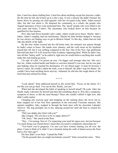him. Cared less about clothing him. Cared less about anything except her precious vodka. By the time he left, she'd been up to a liter a day. It was a miracle she hadn't burned the house down by passing out mid-cigarette with her two-pack-a-day habit. Adam missed Jake, but that was about it. He despised the community as a whole, the people who feigned ignorance of how Lulu mistreated him. The "good" people who were blind to his torn jeans and holey T-shirts. The classmates who looked down on him because he qualified for free lunches.

How Jake had flown beneath Lulu's radar, Adam would never know. Maybe Jake's father, Adam's stepdad, had run interference. Maybe his little brother dodged it because he was always out finding ways to get to Bristow Island. To this day, Adam had not told Jake the details of the fight.

By the time Adam crossed into his old home state, his stomach was queasy though he hadn't eaten in hours. His hands were clammy, and the cold sweat on his forehead pissed him off, but it was nothing compared to the fear. One of his New Age girlfriends had told him that F-E-A-R stood for False Evidence Appearing Real. While he didn't buy into all that "hokey stuff," as he called it, right now he would believe anything that would make this sick feeling go away.

*I'm safe. It's fine. I'm grown up now. I'm bigger and stronger than her. She can't hurt me.* Adam worked harder and harder to convince himself it was true, but he was pale and shaking when he reached his destination. *It's my blood sugar. It must be because I haven't eaten.* He couldn't admit the truth, even to himself. He didn't stop for dinner. He couldn't have kept anything down anyway. Ashamed, he slid into the rough sheets of the hotel bed and yearned for sleep.

\* \* \* \*

"Look ahead." Kate addressed herself as she sorted files. "Focus on the future. It's not like you can go back. You can do this. Really, you can."

When had she developed the habit of speaking to herself aloud? Oh yeah. After she finally made a decision for herself and then did something about it. Was this a temporary symptom of stress, or did she need therapy? Since she couldn't afford it right now, that didn't really matter.

Changing into exercise gear and strapping on the running shoes she never ran in, Kate stepped out of her first floor apartment in the converted Victorian mansion. Her upstairs neighbor, Jake, trudged in through the back door with his chocolate Labrador retriever. The dog promptly ran to her, dancing around her until she bent to scratch his soft ears.

"Did your daddy play fetch with you?"

Jake cringed. "Do you have to be so sappy about it?"

"Oh. Sorry." She stared at the floor.

"Hey—I'm teasing. Sort of. I'm respecting your need for space now, but just because I'm stuck being your friend doesn't mean that you need to completely emasculate me."

"You know you're gorgeous. I'm sure you have women chasing you all over the place. Come to think of it, didn't I see a brunette doing the walk of shame across the front lawn a few days ago?"

His face didn't even flush. "I plead the Fifth."

"On the grounds that you might incriminate yourself." Kate crossed her arms. "How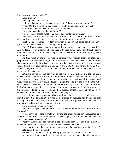long have you been seeing her?"

"Long enough."

Kate laughed. "Good for you."

Looking at her shoes, he changed topics. "I didn't know you were a runner."

"What? Oh, I'm a conscientious objector. I walk. Sometimes I even walk fast."

Jake snorted. "Do you want to take Squirt with you?"

"How can you call a dog like that Squirt?"

"I stole it from *Finding Nemo*. That surfer dude turtle was my hero."

Kate rolled her eyes as she made for the front door. "Thanks for the offer, Turtle-Guy, but I'm flying solo today. Oh—are we still on for a movie tonight?"

"Yeah. Celia's coming, too." Her downstairs neighbor and home healthcare nurse joined them when she wasn't on overnight assignments.

"Great." Kate escaped, uncomfortable with a single guy as cute as Jake, even if he *said* his feelings were platonic. She had been with Brett for so many years that she didn't know how to interact with men as a single woman, regardless of how friendly they were or weren't.

The blue wrap-around porch with its antique white wicker chairs, railings, and gingerbread trim were new enough to Kate to draw her smile. When she hit the sidewalk, she couldn't resist looking back at the picture they made against the shrimp-colored wood. *Could they have picked a more appropriate shade with shrimp boats and the marina in sight down the street? No wonder Moss Point feels like home. Now it's up to me to actually make it one.*

Optimism flowed through her veins as she turned on her iPhone. But the first song kicked off the soundtrack to the implosion of her marriage. She stumbled over a bump in the cement where roots of a three-hundred-year-old oak tree had battled for territory and won. Fumbling with the device, she fought to delete the song that had played on the radio as she packed the car and said goodbye to her entry-level job at the museum—after Brett had submitted a resignation on her behalf. Her employer was more than happy to accept the charitable donation that accompanied it. *Please, please, please let me be more competent with Local Flavor than with this stupid gadget.*

Three blocks later she passed what would soon be Local Flavor. Afraid to stop, afraid to have time to think about what she had risked by pursuing her dream, she kept moving until Mrs. O'Malley called to her from the white picket fence that held the promise of the best bed-and-breakfast in town.

"How long until you open, Kate?"

Kate hoped the panic she felt wasn't broadcast across her body like a drive-in movie. "A month."

"Well, hurry up. These tourists are driving me crazy asking for cappuccinos and lattes and other drinks I've never heard of. I'm not buying one of those fool machines, so I need someplace to send them."

"Really?" Kate had hoped she would see customers from there but didn't expect the demand to be as high as what the semi-retired businesswoman relayed.

"If one more camper begs me for an espresso when they get back from the island…" Kate laughed. "I get the point."

Her heart was more than willing to comply. Her mind just didn't know how.

An hour later, Kate pressed her cell phone to her ear as she paced the pine hardwood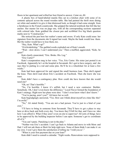floors in her apartment and willed her best friend to answer. *Come on, Ali.*

A plastic box of hand-labeled manila files sat in a kitchen chair with some of its contents splayed across the round wooden table. She had painted the thrift store dining set white and sanded it to give it that distressed look, as though it had come straight from a farmhouse in the French countryside. She gripped the tattered notebook that felt like her anchor. Her master list was on page one, with all the corresponding sections separated with colored tabs. Kate grabbed the closest pen and scribbled five big black question marks next to "Construction."

She noticed the pen bore her realtor's name and swore. If only Kate could erase her signature from the documents she'd signed last week. Maybe the bank would lose them. But the realtor would have to lose them, too.

"Hey, Kate. What's up?"

"*Ericbrokehisleg.*" The garbled words exploded out of Kate's mouth.

"Wait—slow down. I can't understand you." Then a muffled, aggravated, "Kids, be quiet!"

Kate clearly enunciated, "Eric. Broke. His. Leg."

"Eric Carter?"

Kate's exasperation rang in her voice. "Yes, Eric Carter. His sister just posted it on Facebook. Apparently he's at the hospital in Savannah. He's got to have surgery, and she says they're putting in a rod and some pins. He'll be in a wheelchair for at least a few weeks."

Kate had been approved for and signed the small business loan. Then she'd signed the lease. Then she'd read about Eric's accident on Facebook. Then she knew she was toast.

Kate didn't have a contingency plan. How could she have known that she would need one?

"Oh, no! That's horrible."

"No, *I'm* horrible. I know it's selfish, but I need a new contractor. Builder. Somebody. Oh, I don't even know the difference." Local Flavor formed the foundation of Kate's strategy. Right now her plans were shot. "I don't even know what I don't know."

"You're pacing, aren't you?" Ali knew her so well.

Kate begrudgingly answered, "Yes. How can I think about myself at a time like this? I'm awful."

"No," Ali stated firmly. "You are not a bad person. You're just in a bind of your own."

"I'll have to bring in someone from Savannah. They'll have to get a place to stay here or drive back and forth every day. You know they'll bill for that, and I have no idea how I can afford it. What if they aren't even on-site to supervise? All sorts of things have to be approved by the building inspector before I can open. Someone's got to coordinate all of it."

"You can't panic. Panicking is not in the plan."

"Neither was Eric's accident. I can't go back to Atlanta and move in with Mom and Dad. I will *not* ask them or Brett for help right now. None of them think I can make it on my own. I won't give them the satisfaction of telling me 'I told you so'."

"When is your first payment due on your loan?"

Kate didn't need to consult a calendar. "Eight weeks. Renovations were supposed to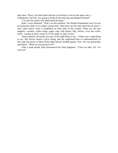take three. There's not that much that has to be done to convert the space into a coffeehouse, but Eric was going to build all the shelving and displays himself."

"I'm sure the artists will understand the delay."

Kate's voice flattened. "That's not the problem. The Health Department won't let me do food prep while we're under construction. Then there are the sales from the art itself. I can't open unless work is completed on both sides of the counter. There are also the supplies—ceramic coffee mugs, paper cups with plastic lids, stirrers, even the coffee itself—coming in three weeks so I'll be ready to open in four."

Alison quieted, obviously not sure of the right thing to say—if there was a right thing to say. She always found a silver lining, and she supported Kate as enthusiastically as they had led cheers at Moss Point High School football games. Now Ali was practically speechless. "What are you going to do?"

After a deep breath, Kate pronounced her final judgment. "I have no idea, Ali. I'm screwed."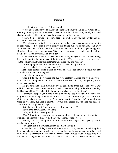#### **Chapter 3**

"I hate leaving you like this…" Jake started.

"We're good. Seriously," said Kate. She scratched Squirt's chin as they stood in the doorway of her apartment. Whenever Jake could take the Lab with him, his eighty-pound shadow was there. The ship in Australia was not one of those places.

"I know it's a lot of work since he'll need to be walked. But you can play fetch in the backyard to exercise him, too."

"We've been over this. It's best for him, better than your grandparents keeping him in their yard. He'll be missing you already, and taking him out of his home and away from people so much of the time would make it even harder. Squirt and I get along great. Besides, I'll appreciate the company." She rubbed his furry head, and Squirt licked her hand. "See? He understands. Don't you, boy?"

Jake's head tilted down on his six-foot-four frame, his eyes focused on hers, doing his best to amplify the importance of the information. "The vet's number is on a magnet on the refrigerator. If there's an emergency, he'll see you as a walk-in."

"I already programmed it in my phone. It's on speed dial, just in case."

"He needs a bath if he gets in the marsh."

Kate's face contorted into a mask of repulsion. "I'll clean him up. Believe me, that won't be a problem." She laughed.

"If he's too much work—"

"Then I'll do you like you said and bug your brother." Though she would never do that. She was more grateful for Jake's friendship than she could say. Babysitting Squirt paled in comparison.

Jake put his hands on his hips and blew his dark blond bangs out of his eyes. It was odd that they and their housemate, Celia, had bonded so quickly in the short time they had been neighbors. "Thanks, Kate. I don't know what I'd do without you."

"Somehow I suspect you'll find a *sheila* or two to keep you busy. Of course, you may be too wrapped up in research to miss us." Kate's Aussie lingo was courtesy of Outback Steakhouse, not because she'd actually been to Australia. She'd wanted to go there on vacation, but Brett's priorities always took precedent. Just like her father's. Status trumped happiness. Always.

"Kate, I almost forgot. You know who my brother is, right?"

"Beyond the name Adam? Not a clue."

"He's your builder." Jake grinned.

"What!" Kate jumped to throw her arms around his neck, and he bent instinctively. She let go and glared at him. "Why didn't you tell me?" she accused.

"Actually, I'm still talking him into it, so I didn't want to get your hopes up. You'll need to close the deal."

"Not a problem. I'll do whatever it takes." She believed it.

A horn honked, and they knew their time was up. Jake gave her a quick hug then bent to one knee, wrapping Squirt in his arms and leveling threats against him if he pissed in his keeper's apartment. She opened the front door and waved to Jake's boss, who had insisted on driving him to the airport in Savannah. Then Jake's arm was around her waist,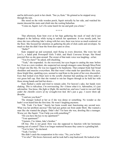and he delivered a peck to her cheek. "See ya, Kate." He grinned as he stepped away through the rain.

She stood on the wide wooden porch, Squirt stoically by her side, and watched his master descend the stairs and climb into the waiting Suburban.

"Come on, Squirt. Let's fix some lunch for me and grab you a bone."

\* \* \* \*

That afternoon, Kate bent over at her hips gathering the stack of mail she'd just dropped in the hallway while trying to unlock her apartment. It was mostly junk, but since she was collecting Jake's along with her own, there was twice as much scattered on the floor. She focused her attention on gathering the pile of slick cards and envelopes. So much so that she didn't hear the front door open or close.

"Hello?"

Kate snapped up and screamed, mail flying in every direction. She wore her old Levi's, a faded pink Powerpuff Girls T-shirt, and black Converse hi-tops. Her blond ponytail flew as she spun around. The owner of that male voice was laughing—at her.

"You live here?" he asked, still chuckling.

"Yeah," she responded. As she recovered, her eyes began to catalog the man before her. Even as a new resident, she suspected not enough strangers came through Moss Point to forget one like this. He was too rugged to be handsome. That compact body had broad shoulders and muscles everywhere. But that wasn't what made her speechless. His eyes, those bright blue, sparkling eyes, seemed to read Kate to the point of her own discomfort. Eyes that looked even bluer next to the scruffy chestnut hair peeking out from under a wet green ball cap. Hair that she wanted to run her fingers through as he held her with those strong hands and laid her down—

Kate flashed a smile and tried to remain calm. For heaven's sake, her hands were shaking. *This is ridiculous. I'm overreacting. No—I know what it is. Adrenaline, it's just adrenaline. You know, like fight or flight. He startled me, and now I want to run and hide under the chenille covers of my wrought-iron bed. He's just a guy. I swore them off. Breathe.*

"I said are you Kate?"

The stranger looked at her as if she was dense or something. No wonder as she hadn't even heard him the first time. He wasn't laughing anymore.

"Oh. Yeah. I'm Kate." Surely her brain would start functioning any second now. What was her problem anyway? She had just gotten out from under Brett. She wanted a man like she wanted the plague. Didn't she? Yet here she was, drooling like a teenager. Worse yet, like Squirt. "Can I help you with something?"

"Do you have the key to my apartment?"

"Your apartment?"

"Upstairs. I'm Adam, Jake's brother."

*Oh boy. This is not good.* How was she supposed to function with her hormones running out of control? Then it no longer mattered because they came to a grinding halt.

"You're him," she declared.

"Yeah. I'm him."

She didn't catch the exasperation in his voice. "No, you're *him*."

"I'm who?" His brows furrowed, and he took half a step backward. He looked at her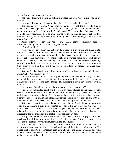warily, but she was too excited to care.

She stepped forward, staring up at him in wonder and awe. "My builder. You're my builder."

He looked down at her, then around the foyer. "Uh, is the landlord here?"

She ignored his reaction. "That doesn't matter. I've got the key. Oh, this is wonderful!" She clapped her hands with joy. She laughed, and the man looked that much cuter in his discomfort. "No, you don't understand. You can replace Eric, and you're going to be my neighbor. This is so great. Maybe we can catch up on the project schedule after all. I mean, we can work here at night, going over plans and doing whatever can be done off-site—"

Adam interrupted her, his tone curt, "Kate, there's obviously been a misunderstanding. I am not, nor will I be, your builder."

"But Jake said…"

"Jake was wrong. I spent the last four days trapped in my truck and cheap motel rooms. I listened to thirty hours of the driest audiobooks in the world and passed another ten kicking myself for not activating satellite radio. Except for the four hours I spent in a hard plastic chair surrounded by concrete walls in a waiting room so I could get my contractor's license, I have been looking at soybeans. Then I had the pleasure of spending two hours on the interstate in the pouring rain. The last thing I want to do right now is think about work. I am tired, and I want to sit comfortably, in peace, somewhere other than my truck."

Kate stuffed her hands in the front pockets of her well-worn jeans and offered a sympathetic, "Of course you do."

Oh dear. It seemed Adam was not responding well to her positive thinking. It looked as though her new builder—she maintained her upbeat outlook—was a little hesitant to acknowledge his role. If she didn't manage this just right, it could have disaster written all over it.

He repeated, "Would you get me the key to my brother's apartment?"

Visions of bankruptcy court and her parents' house flashed in her head. Retreat seemed to be the wisest option. Quietly and carefully, she turned, sidestepping the mail and disappearing into her home. She returned as he requested, turtle key chain in hand. Silently, she passed it to him and left again. She waited until he was gone to deal with the mess on the floor. If only she could sort out her life as easily as she did the mail.

Kate's positive attitude obviously had been over the top. She had no extra money to offer him an incentive even if she wanted to. Then it hit her. They said the way to a man's heart was through his stomach. Maybe that would be true for business relationships, too. Clinging to a ray of hope, she headed for her kitchen and pulled out the ingredients for the chocolate chip cookie recipe she knew by heart.

She paced her small apartment while they baked. Visions of pages from her notebook drifted through her mind, but she refused to let herself pick it up. Instead, she checked the cookies every five minutes until the timer buzzed.

While they were still warm, she transferred them to a plain white dinner plate, the most testosterone-laden dishware she had, and covered them in clear plastic wrap. She pulled out her collection of notecards from her desk. Selecting a monogrammed one with a blank interior, she opened it and wrote two words inside. Kate placed it in the envelope and put it on top of the cookies.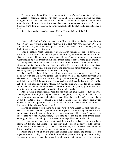Feeling a little like an idiot, Kate tiptoed up the house's creaky old stairs. Jake's no, Adam's—apartment sat directly above hers. She heard nothing through the door, though that wasn't unusual unless the TV volume was turned up. She gently slid the plate onto the floor, knocked three times, and then crept away as stealthily as she'd come. Satisfied she'd done all she could do for now, Kate had to do what she hated: sit back and wait.

Surely he wouldn't reject her peace offering. Heaven help her if he did.

\* \* \* \*

Adam could think of only one person who'd be knocking on his door, and she was the last person he wanted to see. *Kate must not like to take "no" for an answer.* Prepared for the worst, he yanked the door open to nothing. He peered out into the hall, looking both directions and not seeing a soul.

Then he smelled them. Cookies. Was a neighbor baking? He glanced down as he turned to shut the door and saw the plate and card. Again, one person came to mind. *What's she up to?* He was afraid to speculate. He hadn't eaten in hours, and the cookies were there, so he picked them up and carried them inside to the bar at the galley kitchen.

He opened the envelope and saw the name "Kate Braswell" monogrammed in a simple decorative font on the card. Navy on white. His artistic sensibilities appreciated the impression, classy without being stuffy. She hadn't come across that way. Maybe the stationery was a gift. He opened it and read, "I'm sorry."

*She should be.* She'd all but cornered him when she discovered who he was. Shoot, he hadn't even had a chance to get his bags out of the truck. He felt human now that he'd showered and changed—while she was baking cookies, obviously. He unwrapped them, and their aroma filled the apartment. His stomach growled, and he had a thought. Milk. Jake had been gone only a day. Maybe, just maybe, there was some left in the fridge. Adam rounded the counter and opened the door to a half-full gallon jug of the stuff that didn't expire for another week. He said thank you to his brother.

After pouring a short glass, he took his first bite and gave thanks for Kate as well. She might be a little high-strung, not ideal for a neighbor, but man, could she bake. The warm cookies were golden and lightly crisped. How did she do that? He could have sworn he tasted a hint of honest-to-god butter melting into the gooey semi-sweet chocolate chips. Chopped nuts, he tasted those, too. He finished the cookie and took a long swig of the milk. *Apology accepted.*

Maybe he needed to reexamine his perspective on Kate. Adam thought back on the shock in her eyes when he'd greeted her in the foyer. It was endearing, and her eventual smile made it worth wading through her initial confusion. If he wasn't wrong, she appreciated what she saw, too, which, considering he looked like hell after driving crosscountry, really said something. Maybe he could salvage this situation after all.

The next morning, Adam got a late start thanks to his jet lag. He might not have flown east this time, but driving took a different kind of toll on his body. It didn't matter. Adam needed to see Oakwood, to have an understanding of what needed to be done. To bring himself closer to resolving this lawsuit and going home to Oregon.

Adam ate a bowl of Jake's chocolate-flavored kids' cereal and managed to put together a pitiful tasting cup of coffee in a travel mug before heading out mid-morning. Locking up Jake's apartment, he headed through the drizzle to climb in his silver pickup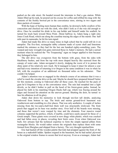parked on the side street. He headed toward the interstate to find a gas station. While Adam filled up his tank, he poured out his excuse for coffee and refilled his mug with the contents of the freshly brewed pot in the convenience store, stirring in two sugars and three packets of creamer.

With the hope of feeling more human than zombie, he downed a hefty swallow of his concoction and checked out with the clerk, who didn't look as if she was old enough to drive. Once he resettled his drink in his cup holder and himself under his seatbelt, he turned his truck back toward Moss Point. About halfway in, Adam hung a right onto Jones Creek Road, which ran along the coastline tracing the edges of the marsh. One half mile past its namesake, he hit his turn signal.

Adam had made this drive so many times in high school that he could still do it on autopilot. The five-foot, rectangular tabby columns made of oyster shell and limestone marked the entrance as they had for the last one hundred eighty-something years. The warped and rusty wrought-iron gates mirrored those in Adam's memory. He had a surreal moment when he realized the "No Trespassing" signs no longer applied to him because they belonged to him.

The dirt drive was overgrown from the bottom with grass, from the sides with blackberry bushes, and from the top with moss draped heavily like seaweed from the canopy of water oaks. Adam navigated it slowly, dodging the worst of it to protect the shiny paint of his relatively new truck. He'd managed to keep it intact for almost a year and had every intention of returning it to Oregon in the same condition it was in when he left, with the exception of an additional six thousand miles on his odometer. That couldn't be helped.

Adam's attention was so engaged in the obstacle course of an entrance that it was a relief to reach the circular drive at the end. Maybe he should have prepared himself better for this moment, coming to Oakwood after all these years. He reached for the pack of gum he'd forgotten to buy at the convenience store. The rain had morphed into a light drizzle, so he didn't bother to pull on the hood of his forest-green parka. Instead, he placed his faith in his matching Oregon Ducks ball cap, which was fraying around the edges and focused his attention on the uneven ground. Shutting the door, he turned to face his albatross in all its glory.

Adam shut down his memories to look through ten-foot tall shrubs, analyzing Oakwood from bottom to top. The brick and mortar ground-level basement was weatherworn and crumbling in a few places. That was only aesthetics. A couple of inches missing from the two-and-a-half-foot thick wall was structurally irrelevant. The front porch that sagged on its base was another story. Over half of the boards were missing, and those that weren't were warped by time and the elements. Four massive round columns supported the portico, which, if marble, could have easily passed for those of a Greek temple. These giants were covered in now dingy white plaster, which was cracked and had fallen away in places, revealing their brick cores. Even when Oakwood was built, few artisans had the technical expertise to form the simple tapered pillars from rectangular blocks. He would rather restore the originals than replace them with some formed from fiberglass and shipped from a factory. The very thought repulsed him.

Eric had hauled off the wooden palette that kids had propped against the front of the house as a makeshift ladder. Spiders reigned in the basement, but he had nailed plywood to the original window frames to secure that level anyway. Even as a teenager, Adam had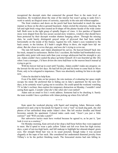recognized the decrepit stairs that connected the ground floor to the main level as hazardous. He wondered about the state of the interior but wasn't going to undo Eric's work to satisfy an illogical sense of curiosity, especially in the rain and without supplies.

The front windows and doors on the porch had been barricaded in much the same manner as those on the above-ground basement. Adam circled the structure, checking the left and right brick wings that created an H-shape off the plaster facade of the wide center hall. Both were in the tight grasp of spindly fingers of vines. A few patches of Spanish moss were draped from the less secure second-story windows, windows that should have been protected by their decrepit wooden shutters hanging askew. Through the missing slats, he could barely distinguish grayed strips of plywood that had been nailed horizontally on the inside of the frames. Against his will, Adam's eyes wandered to the back corner, to the kitchen. *If I hadn't caught Missy in there, she might have left me alone. But she chose to screw that guy, and now she's trying to screw me.*

The rain fell harder, and Adam abandoned his survey. He heaved himself back into his truck, steeped in uselessness. Before Eric's accident, the builder had bombarded every possible entry point with more nails than your average adolescent had the strength to pry out. Adam couldn't have sealed the place up better himself. *If it was boarded up like this when I was a teenager, I'd have driven the extra half-hour to the nearest beach instead of trying to get in.*

With his lawyer tied up in court until Tuesday, Adam couldn't make any progress on the lawsuit for the next few days. He had left his job and his home to come back to Moss Point, only to be relegated to impotence. There was absolutely nothing for him to do right now.

Unless he decided to help Kate.

Even if he didn't take on her project, the rote motions of evaluating her space might occupy his mind. He preferred that to hiding out in Jake's apartment for the next few days, as he certainly wasn't going out to socialize. He could spend the weekend watching TV in Jake's recliner, then explore his temporary distraction on Monday. *I wouldn't mind seeing Kate again. I wonder what she's like when she's not rattled?*

Adam sent an email to Eric's work address. Someone had to be checking it. Surely the team wouldn't have a problem with Adam picking up where Eric left off.

\* \* \* \*

Kate spent the weekend playing with Squirt and tempting Adam. Between walks around town and a trip to Savannah for Squirt to visit a "real" no-leash dog park, she slid photos of her unfinished shop under Adam's door. She left snicker doodles and blond brownies outside his apartment. Colored index cards read, "Aren't you just a little curious?" and "Will you take a peek?"

Her subversive tactics must have worked because he agreed to, as he put it, "just look it over as a courtesy."

On Monday morning, Kate arrived at her shop a half-hour before they were supposed to meet. She'd opted to wear a pale yellow Tahari suit left over from her high society days, a pair of not-too-high heels, and full makeup to highlight her almond-shaped green eyes. Her straight blond hair was in its usual ponytail, though today it was secured elegantly at the nape of her neck. She considered her understated diamond jewelry from Tiffany's to be the perfect finishing touch. The forecasted storms had rain falling in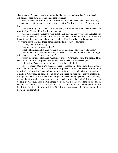sheets, and she'd elected to use an umbrella. She had her notebook, her favorite black gel ink pen, her paint swatches, and a bad case of nerves.

Adam strolled in, oblivious to the weather—that happened much like receiving a vaccine against rain when you moved to the Pacific Northwest—at ten o'clock, right on time.

"Good morning." Kate managed a chipper yet professional tone as she opened the door for him. She would be his dream client today.

"Morning. Thanks." Adam's worn plaid shirt, Levi's, and work boots signaled his readiness to take on the job—or so she hoped. He carried an armful of rolled-up blueprints and a travel mug she assumed held coffee. He walked to the counter and set everything down. Then he faced her and shuffled his feet, eyes downcast.

"Listen, about the other day…"

"You were right. I was out of line."

That had him raising his head. "Thanks for the cookies. They were really good."

"You're welcome," she said with a casualness that masked her fear that he still might reject her as a client. "Can we start over?"

"Sure." He extended his hand. "Adam Moultrie." Kate's smile turned to shock. Then shock to horror. She'd forgotten every bit of manners she'd ever been taught.

"Oh, hell no!" came out of her mouth before she could think.

Tales of Adam Moultrie's misdeeds were legendary in Moss Point. From getting drunk before school—didn't they find him passed out on the baseball field one morning?—to throwing desks and playing with knives in class to leaving his prom date at a party at Oakwood, he defined "bad boy." She heard he rode his buddy's motorcycle through the halls of the Moss Point High, and even though people had sworn they personally witnessed it, the allegation seemed so absurd that she couldn't bring herself to believe it was true. People still placed bets on whether he was dead or in prison somewhere. There was no way she would trust her dream, her livelihood, and therefore her life to this icon of irresponsibility. No, this was not acceptable. It was worse than having no builder at all.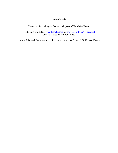# **Author's Note**

Thank you for reading the first three chapters of **Not Quite Home**.

The book is available at www.lsbooks.com for pre-order with a 20% discount until its release on July  $13<sup>th</sup>$ , 2015.

It also will be available at major retailers, such as Amazon, Barnes & Noble, and iBooks.